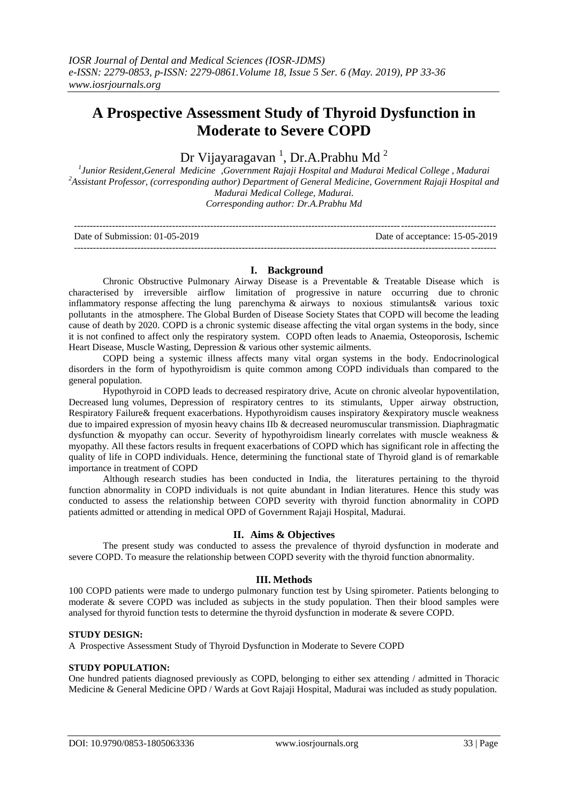# **A Prospective Assessment Study of Thyroid Dysfunction in Moderate to Severe COPD**

# Dr Vijayaragavan<sup>1</sup>, Dr.A.Prabhu Md<sup>2</sup>

*1 Junior Resident,General Medicine ,Government Rajaji Hospital and Madurai Medical College , Madurai <sup>2</sup>Assistant Professor, (corresponding author) Department of General Medicine, Government Rajaji Hospital and Madurai Medical College, Madurai. Corresponding author: Dr.A.Prabhu Md*

| Date of Submission: 01-05-2019 | Date of acceptance: 15-05-2019 |
|--------------------------------|--------------------------------|
|                                |                                |

# **I. Background**

Chronic Obstructive Pulmonary Airway Disease is a Preventable & Treatable Disease which is characterised by irreversible airflow limitation of progressive in nature occurring due to chronic inflammatory response affecting the lung parenchyma & airways to noxious stimulants& various toxic pollutants in the atmosphere. The Global Burden of Disease Society States that COPD will become the leading cause of death by 2020. COPD is a chronic systemic disease affecting the vital organ systems in the body, since it is not confined to affect only the respiratory system. COPD often leads to Anaemia, Osteoporosis, Ischemic Heart Disease, Muscle Wasting, Depression & various other systemic ailments.

COPD being a systemic illness affects many vital organ systems in the body. Endocrinological disorders in the form of hypothyroidism is quite common among COPD individuals than compared to the general population.

Hypothyroid in COPD leads to decreased respiratory drive, Acute on chronic alveolar hypoventilation, Decreased lung volumes, Depression of respiratory centres to its stimulants, Upper airway obstruction, Respiratory Failure& frequent exacerbations. Hypothyroidism causes inspiratory &expiratory muscle weakness due to impaired expression of myosin heavy chains IIb & decreased neuromuscular transmission. Diaphragmatic dysfunction & myopathy can occur. Severity of hypothyroidism linearly correlates with muscle weakness & myopathy. All these factors results in frequent exacerbations of COPD which has significant role in affecting the quality of life in COPD individuals. Hence, determining the functional state of Thyroid gland is of remarkable importance in treatment of COPD

Although research studies has been conducted in India, the literatures pertaining to the thyroid function abnormality in COPD individuals is not quite abundant in Indian literatures. Hence this study was conducted to assess the relationship between COPD severity with thyroid function abnormality in COPD patients admitted or attending in medical OPD of Government Rajaji Hospital, Madurai.

# **II. Aims & Objectives**

The present study was conducted to assess the prevalence of thyroid dysfunction in moderate and severe COPD. To measure the relationship between COPD severity with the thyroid function abnormality.

# **III. Methods**

100 COPD patients were made to undergo pulmonary function test by Using spirometer. Patients belonging to moderate & severe COPD was included as subjects in the study population. Then their blood samples were analysed for thyroid function tests to determine the thyroid dysfunction in moderate & severe COPD.

# **STUDY DESIGN:**

A Prospective Assessment Study of Thyroid Dysfunction in Moderate to Severe COPD

# **STUDY POPULATION:**

One hundred patients diagnosed previously as COPD, belonging to either sex attending / admitted in Thoracic Medicine & General Medicine OPD / Wards at Govt Rajaji Hospital, Madurai was included as study population.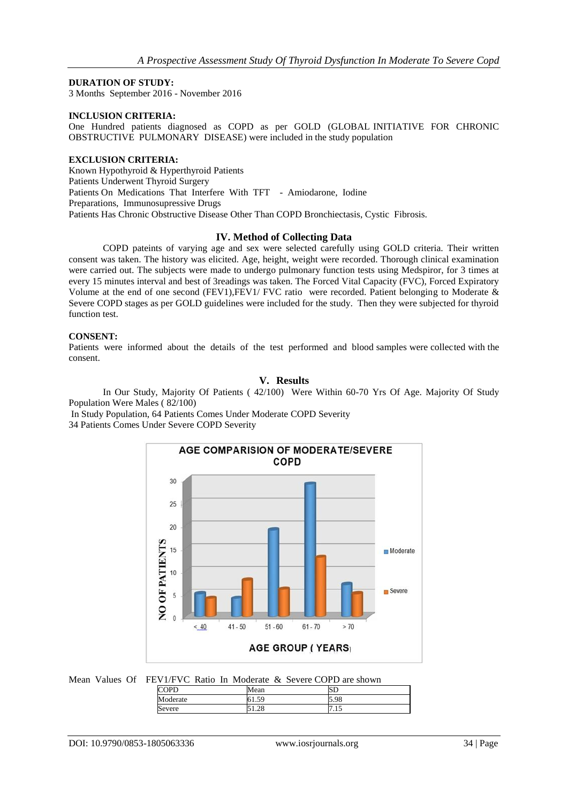#### **DURATION OF STUDY:**

3 Months September 2016 - November 2016

#### **INCLUSION CRITERIA:**

One Hundred patients diagnosed as COPD as per GOLD (GLOBAL INITIATIVE FOR CHRONIC OBSTRUCTIVE PULMONARY DISEASE) were included in the study population

#### **EXCLUSION CRITERIA:**

Known Hypothyroid & Hyperthyroid Patients Patients Underwent Thyroid Surgery Patients On Medications That Interfere With TFT - Amiodarone, Iodine Preparations, Immunosupressive Drugs Patients Has Chronic Obstructive Disease Other Than COPD Bronchiectasis, Cystic Fibrosis.

# **IV. Method of Collecting Data**

COPD pateints of varying age and sex were selected carefully using GOLD criteria. Their written consent was taken. The history was elicited. Age, height, weight were recorded. Thorough clinical examination were carried out. The subjects were made to undergo pulmonary function tests using Medspiror, for 3 times at every 15 minutes interval and best of 3readings was taken. The Forced Vital Capacity (FVC), Forced Expiratory Volume at the end of one second (FEV1),FEV1/ FVC ratio were recorded. Patient belonging to Moderate & Severe COPD stages as per GOLD guidelines were included for the study. Then they were subjected for thyroid function test.

#### **CONSENT:**

Patients were informed about the details of the test performed and blood samples were collected with the consent.

# **V. Results**

In Our Study, Majority Of Patients ( 42/100) Were Within 60-70 Yrs Of Age. Majority Of Study Population Were Males ( 82/100)

In Study Population, 64 Patients Comes Under Moderate COPD Severity 34 Patients Comes Under Severe COPD Severity



Mean Values Of FEV1/FVC Ratio In Moderate & Severe COPD are shown

|             | 4ean             | ∟כו  |  |
|-------------|------------------|------|--|
| M<br>lerate | $\sim$<br>. J. J | 5.98 |  |
| Severe      | nΩ<br>1.40       | 1.1J |  |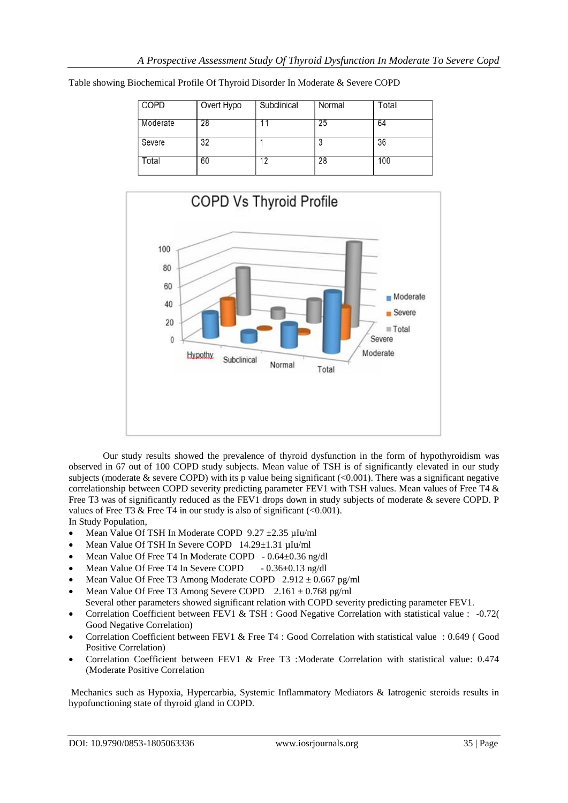| <b>COPD</b> | Overt Hypo | Subclinical | Normal | Total |
|-------------|------------|-------------|--------|-------|
| Moderate    | 28         |             | 25     | 64    |
| Severe      | 32         |             | 3      | 36    |
| Total       | 60         | 12          | 28     | 100   |
|             |            |             |        |       |

Table showing Biochemical Profile Of Thyroid Disorder In Moderate & Severe COPD



Our study results showed the prevalence of thyroid dysfunction in the form of hypothyroidism was observed in 67 out of 100 COPD study subjects. Mean value of TSH is of significantly elevated in our study subjects (moderate  $\&$  severe COPD) with its p value being significant (<0.001). There was a significant negative correlationship between COPD severity predicting parameter FEV1 with TSH values. Mean values of Free T4 & Free T3 was of significantly reduced as the FEV1 drops down in study subjects of moderate & severe COPD. P values of Free T3 & Free T4 in our study is also of significant  $(<0.001$ ). In Study Population,

- Mean Value Of TSH In Moderate COPD 9.27 ±2.35 µIu/ml
- Mean Value Of TSH In Severe COPD 14.29±1.31 µIu/ml
- Mean Value Of Free T4 In Moderate COPD 0.64±0.36 ng/dl
- Mean Value Of Free T4 In Severe COPD 0.36±0.13 ng/dl
- Mean Value Of Free T3 Among Moderate COPD  $2.912 \pm 0.667$  pg/ml
- Mean Value Of Free T3 Among Severe COPD  $2.161 \pm 0.768$  pg/ml Several other parameters showed significant relation with COPD severity predicting parameter FEV1.
- Correlation Coefficient between FEV1 & TSH : Good Negative Correlation with statistical value : -0.72( Good Negative Correlation)
- Correlation Coefficient between FEV1 & Free T4 : Good Correlation with statistical value : 0.649 ( Good Positive Correlation)
- Correlation Coefficient between FEV1 & Free T3 :Moderate Correlation with statistical value: 0.474 (Moderate Positive Correlation

Mechanics such as Hypoxia, Hypercarbia, Systemic Inflammatory Mediators & Iatrogenic steroids results in hypofunctioning state of thyroid gland in COPD.